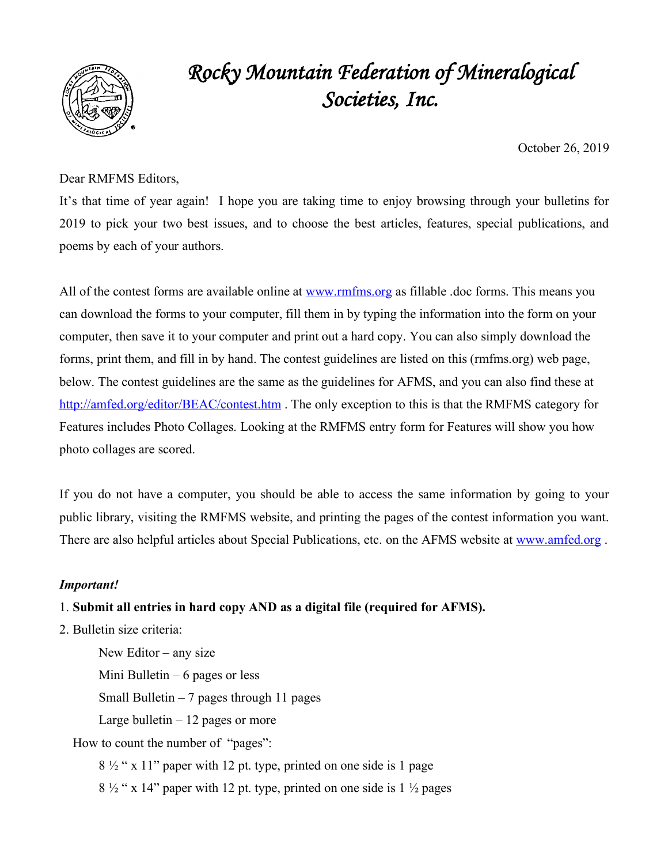

# *Rocky Mountain Federation of Mineralogical Societies, Inc.*

October 26, 2019

### Dear RMFMS Editors,

It's that time of year again! I hope you are taking time to enjoy browsing through your bulletins for 2019 to pick your two best issues, and to choose the best articles, features, special publications, and poems by each of your authors.

All of the contest forms are available online at www.rmfms.org as fillable .doc forms. This means you can download the forms to your computer, fill them in by typing the information into the form on your computer, then save it to your computer and print out a hard copy. You can also simply download the forms, print them, and fill in by hand. The contest guidelines are listed on this (rmfms.org) web page, below. The contest guidelines are the same as the guidelines for AFMS, and you can also find these at http://amfed.org/editor/BEAC/contest.htm . The only exception to this is that the RMFMS category for Features includes Photo Collages. Looking at the RMFMS entry form for Features will show you how photo collages are scored.

If you do not have a computer, you should be able to access the same information by going to your public library, visiting the RMFMS website, and printing the pages of the contest information you want. There are also helpful articles about Special Publications, etc. on the AFMS website at www.amfed.org.

### *Important!*

### 1. **Submit all entries in hard copy AND as a digital file (required for AFMS).**

2. Bulletin size criteria:

New Editor – any size Mini Bulletin  $-6$  pages or less Small Bulletin  $-7$  pages through 11 pages Large bulletin  $-12$  pages or more

How to count the number of "pages":

 $8\frac{1}{2}$  " x 11" paper with 12 pt. type, printed on one side is 1 page  $8\frac{1}{2}$  " x 14" paper with 12 pt. type, printed on one side is 1  $\frac{1}{2}$  pages